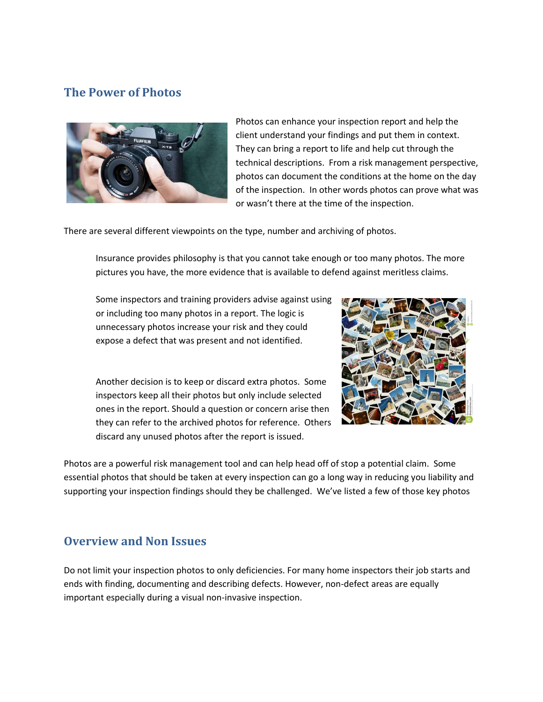## **The Power of Photos**



Photos can enhance your inspection report and help the client understand your findings and put them in context. They can bring a report to life and help cut through the technical descriptions. From a risk management perspective, photos can document the conditions at the home on the day of the inspection. In other words photos can prove what was or wasn't there at the time of the inspection.

There are several different viewpoints on the type, number and archiving of photos.

Insurance provides philosophy is that you cannot take enough or too many photos. The more pictures you have, the more evidence that is available to defend against meritless claims.

Some inspectors and training providers advise against using or including too many photos in a report. The logic is unnecessary photos increase your risk and they could expose a defect that was present and not identified.

Another decision is to keep or discard extra photos. Some inspectors keep all their photos but only include selected ones in the report. Should a question or concern arise then they can refer to the archived photos for reference. Others discard any unused photos after the report is issued.



Photos are a powerful risk management tool and can help head off of stop a potential claim. Some essential photos that should be taken at every inspection can go a long way in reducing you liability and supporting your inspection findings should they be challenged. We've listed a few of those key photos

## **Overview and Non Issues**

Do not limit your inspection photos to only deficiencies. For many home inspectors their job starts and ends with finding, documenting and describing defects. However, non-defect areas are equally important especially during a visual non-invasive inspection.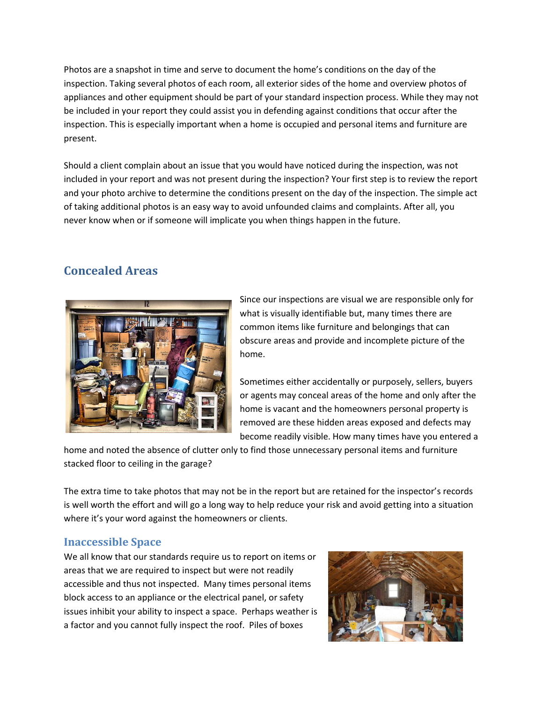Photos are a snapshot in time and serve to document the home's conditions on the day of the inspection. Taking several photos of each room, all exterior sides of the home and overview photos of appliances and other equipment should be part of your standard inspection process. While they may not be included in your report they could assist you in defending against conditions that occur after the inspection. This is especially important when a home is occupied and personal items and furniture are present.

Should a client complain about an issue that you would have noticed during the inspection, was not included in your report and was not present during the inspection? Your first step is to review the report and your photo archive to determine the conditions present on the day of the inspection. The simple act of taking additional photos is an easy way to avoid unfounded claims and complaints. After all, you never know when or if someone will implicate you when things happen in the future.

# **Concealed Areas**



Since our inspections are visual we are responsible only for what is visually identifiable but, many times there are common items like furniture and belongings that can obscure areas and provide and incomplete picture of the home.

Sometimes either accidentally or purposely, sellers, buyers or agents may conceal areas of the home and only after the home is vacant and the homeowners personal property is removed are these hidden areas exposed and defects may become readily visible. How many times have you entered a

home and noted the absence of clutter only to find those unnecessary personal items and furniture stacked floor to ceiling in the garage?

The extra time to take photos that may not be in the report but are retained for the inspector's records is well worth the effort and will go a long way to help reduce your risk and avoid getting into a situation where it's your word against the homeowners or clients.

### **Inaccessible Space**

We all know that our standards require us to report on items or areas that we are required to inspect but were not readily accessible and thus not inspected. Many times personal items block access to an appliance or the electrical panel, or safety issues inhibit your ability to inspect a space. Perhaps weather is a factor and you cannot fully inspect the roof. Piles of boxes